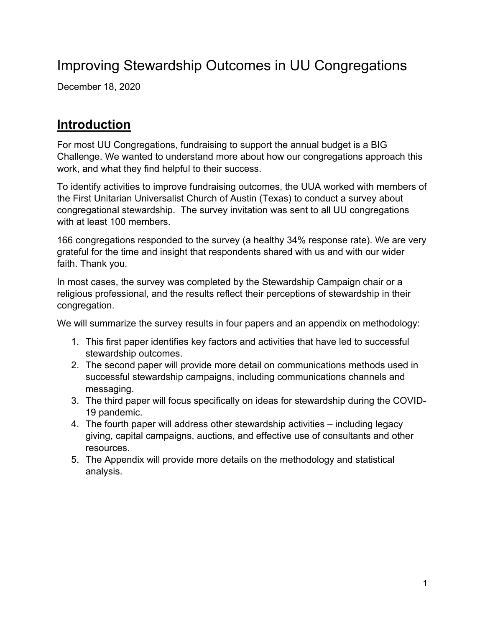# Improving Stewardship Outcomes in UU Congregations

December 18, 2020

# **Introduction**

For most UU Congregations, fundraising to support the annual budget is a BIG Challenge. We wanted to understand more about how our congregations approach this work, and what they find helpful to their success.

To identify activities to improve fundraising outcomes, the UUA worked with members of the First Unitarian Universalist Church of Austin (Texas) to conduct a survey about congregational stewardship. The survey invitation was sent to all UU congregations with at least 100 members.

166 congregations responded to the survey (a healthy 34% response rate). We are very grateful for the time and insight that respondents shared with us and with our wider faith. Thank you.

In most cases, the survey was completed by the Stewardship Campaign chair or a religious professional, and the results reflect their perceptions of stewardship in their congregation.

We will summarize the survey results in four papers and an appendix on methodology:

- 1. This first paper identifies key factors and activities that have led to successful stewardship outcomes.
- 2. The second paper will provide more detail on communications methods used in successful stewardship campaigns, including communications channels and messaging.
- 3. The third paper will focus specifically on ideas for stewardship during the COVID-19 pandemic.
- 4. The fourth paper will address other stewardship activities including legacy giving, capital campaigns, auctions, and effective use of consultants and other resources.
- 5. The Appendix will provide more details on the methodology and statistical analysis.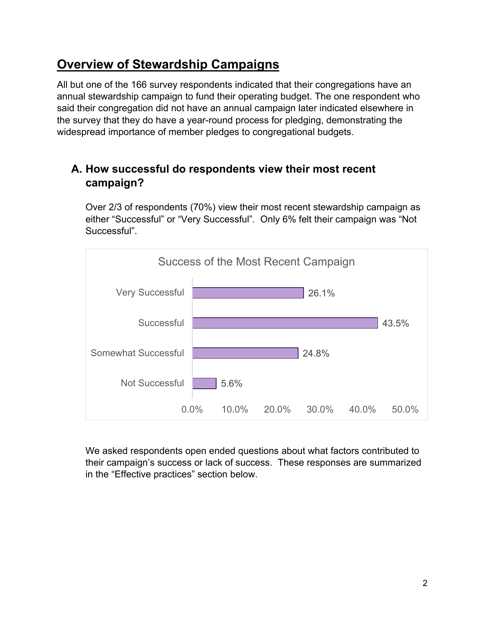# **Overview of Stewardship Campaigns**

All but one of the 166 survey respondents indicated that their congregations have an annual stewardship campaign to fund their operating budget. The one respondent who said their congregation did not have an annual campaign later indicated elsewhere in the survey that they do have a year-round process for pledging, demonstrating the widespread importance of member pledges to congregational budgets.

# **A. How successful do respondents view their most recent campaign?**

Over 2/3 of respondents (70%) view their most recent stewardship campaign as either "Successful" or "Very Successful". Only 6% felt their campaign was "Not Successful".



We asked respondents open ended questions about what factors contributed to their campaign's success or lack of success. These responses are summarized in the "Effective practices" section below.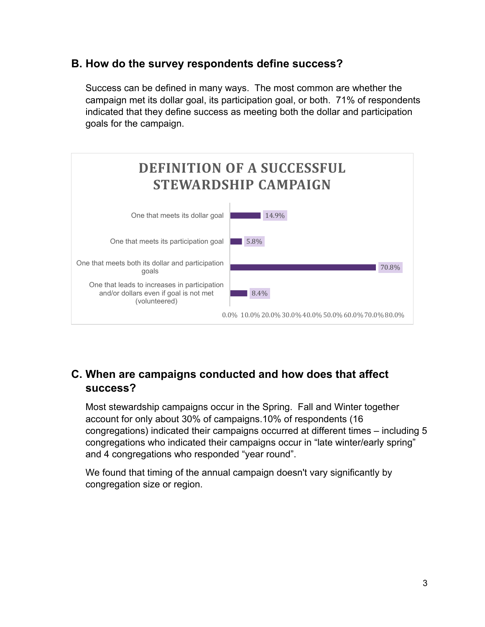## **B. How do the survey respondents define success?**

Success can be defined in many ways. The most common are whether the campaign met its dollar goal, its participation goal, or both. 71% of respondents indicated that they define success as meeting both the dollar and participation goals for the campaign.



## **C. When are campaigns conducted and how does that affect success?**

Most stewardship campaigns occur in the Spring. Fall and Winter together account for only about 30% of campaigns.10% of respondents (16 congregations) indicated their campaigns occurred at different times – including 5 congregations who indicated their campaigns occur in "late winter/early spring" and 4 congregations who responded "year round".

We found that timing of the annual campaign doesn't vary significantly by congregation size or region.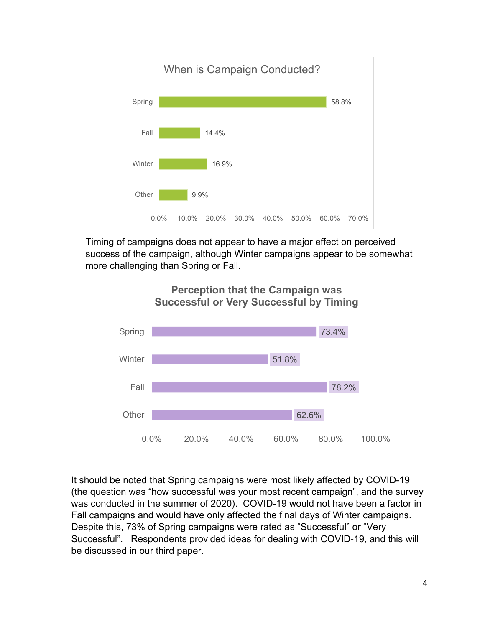

Timing of campaigns does not appear to have a major effect on perceived success of the campaign, although Winter campaigns appear to be somewhat more challenging than Spring or Fall.



It should be noted that Spring campaigns were most likely affected by COVID-19 (the question was "how successful was your most recent campaign", and the survey was conducted in the summer of 2020). COVID-19 would not have been a factor in Fall campaigns and would have only affected the final days of Winter campaigns. Despite this, 73% of Spring campaigns were rated as "Successful" or "Very Successful". Respondents provided ideas for dealing with COVID-19, and this will be discussed in our third paper.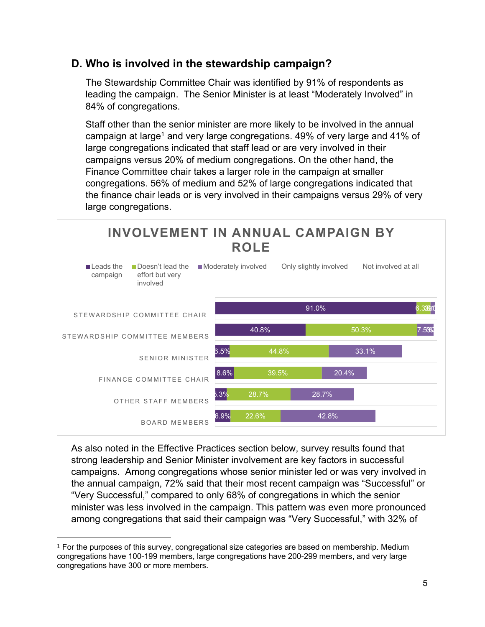# **D. Who is involved in the stewardship campaign?**

The Stewardship Committee Chair was identified by 91% of respondents as leading the campaign. The Senior Minister is at least "Moderately Involved" in 84% of congregations.

Staff other than the senior minister are more likely to be involved in the annual campaign at large<sup>1</sup> and very large congregations.  $49\%$  of very large and  $41\%$  of large congregations indicated that staff lead or are very involved in their campaigns versus 20% of medium congregations. On the other hand, the Finance Committee chair takes a larger role in the campaign at smaller congregations. 56% of medium and 52% of large congregations indicated that the finance chair leads or is very involved in their campaigns versus 29% of very large congregations.



As also noted in the Effective Practices section below, survey results found that strong leadership and Senior Minister involvement are key factors in successful campaigns. Among congregations whose senior minister led or was very involved in the annual campaign, 72% said that their most recent campaign was "Successful" or "Very Successful," compared to only 68% of congregations in which the senior minister was less involved in the campaign. This pattern was even more pronounced among congregations that said their campaign was "Very Successful," with 32% of

 $1$  For the purposes of this survey, congregational size categories are based on membership. Medium congregations have 100-199 members, large congregations have 200-299 members, and very large congregations have 300 or more members.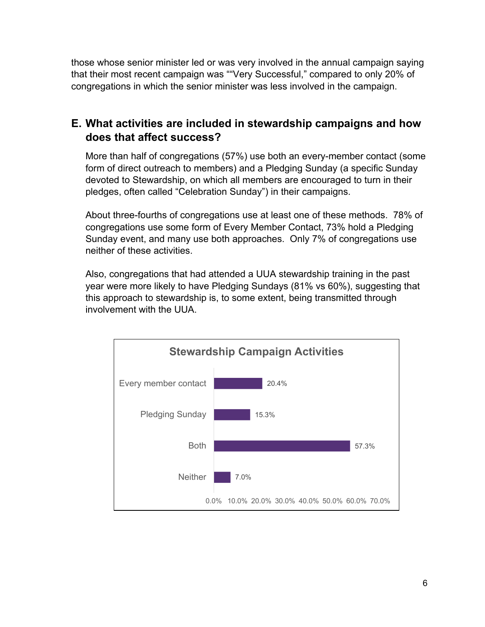those whose senior minister led or was very involved in the annual campaign saying that their most recent campaign was ""Very Successful," compared to only 20% of congregations in which the senior minister was less involved in the campaign.

# **E. What activities are included in stewardship campaigns and how does that affect success?**

More than half of congregations (57%) use both an every-member contact (some form of direct outreach to members) and a Pledging Sunday (a specific Sunday devoted to Stewardship, on which all members are encouraged to turn in their pledges, often called "Celebration Sunday") in their campaigns.

About three-fourths of congregations use at least one of these methods. 78% of congregations use some form of Every Member Contact, 73% hold a Pledging Sunday event, and many use both approaches. Only 7% of congregations use neither of these activities.

Also, congregations that had attended a UUA stewardship training in the past year were more likely to have Pledging Sundays (81% vs 60%), suggesting that this approach to stewardship is, to some extent, being transmitted through involvement with the UUA.

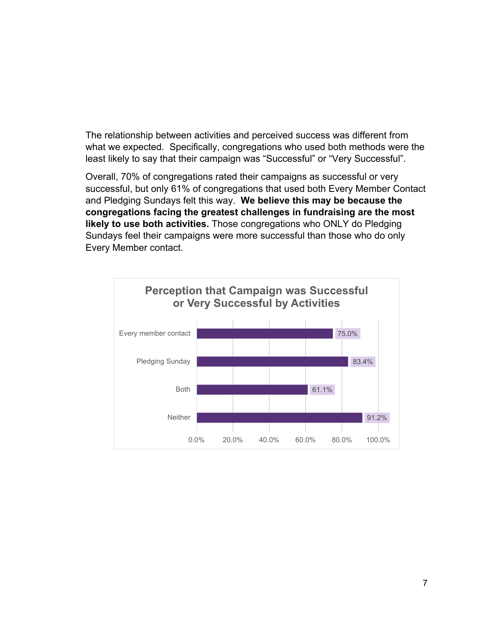The relationship between activities and perceived success was different from what we expected. Specifically, congregations who used both methods were the least likely to say that their campaign was "Successful" or "Very Successful".

Overall, 70% of congregations rated their campaigns as successful or very successful, but only 61% of congregations that used both Every Member Contact and Pledging Sundays felt this way. **We believe this may be because the congregations facing the greatest challenges in fundraising are the most likely to use both activities.** Those congregations who ONLY do Pledging Sundays feel their campaigns were more successful than those who do only Every Member contact.

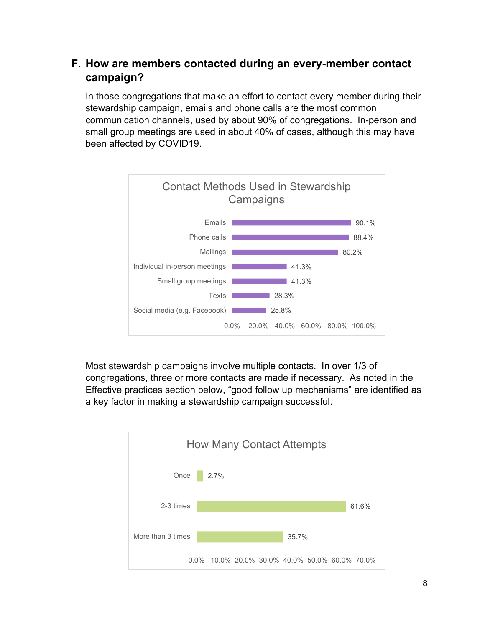# **F. How are members contacted during an every-member contact campaign?**

In those congregations that make an effort to contact every member during their stewardship campaign, emails and phone calls are the most common communication channels, used by about 90% of congregations. In-person and small group meetings are used in about 40% of cases, although this may have been affected by COVID19.



Most stewardship campaigns involve multiple contacts. In over 1/3 of congregations, three or more contacts are made if necessary. As noted in the Effective practices section below, "good follow up mechanisms" are identified as a key factor in making a stewardship campaign successful.

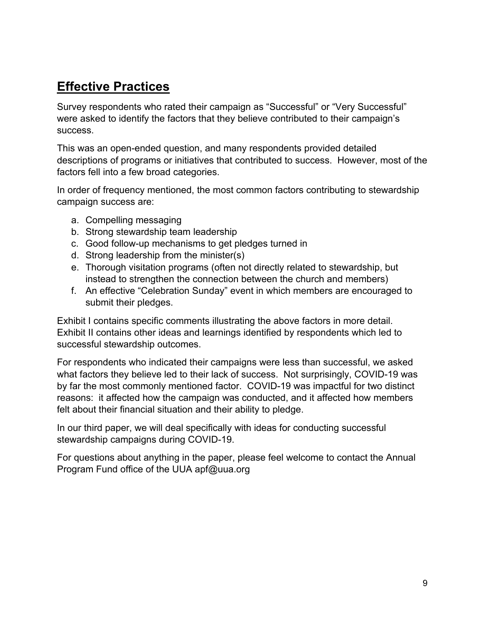# **Effective Practices**

Survey respondents who rated their campaign as "Successful" or "Very Successful" were asked to identify the factors that they believe contributed to their campaign's success.

This was an open-ended question, and many respondents provided detailed descriptions of programs or initiatives that contributed to success. However, most of the factors fell into a few broad categories.

In order of frequency mentioned, the most common factors contributing to stewardship campaign success are:

- a. Compelling messaging
- b. Strong stewardship team leadership
- c. Good follow-up mechanisms to get pledges turned in
- d. Strong leadership from the minister(s)
- e. Thorough visitation programs (often not directly related to stewardship, but instead to strengthen the connection between the church and members)
- f. An effective "Celebration Sunday" event in which members are encouraged to submit their pledges.

Exhibit I contains specific comments illustrating the above factors in more detail. Exhibit II contains other ideas and learnings identified by respondents which led to successful stewardship outcomes.

For respondents who indicated their campaigns were less than successful, we asked what factors they believe led to their lack of success. Not surprisingly, COVID-19 was by far the most commonly mentioned factor. COVID-19 was impactful for two distinct reasons: it affected how the campaign was conducted, and it affected how members felt about their financial situation and their ability to pledge.

In our third paper, we will deal specifically with ideas for conducting successful stewardship campaigns during COVID-19.

For questions about anything in the paper, please feel welcome to contact the Annual Program Fund office of the UUA apf@uua.org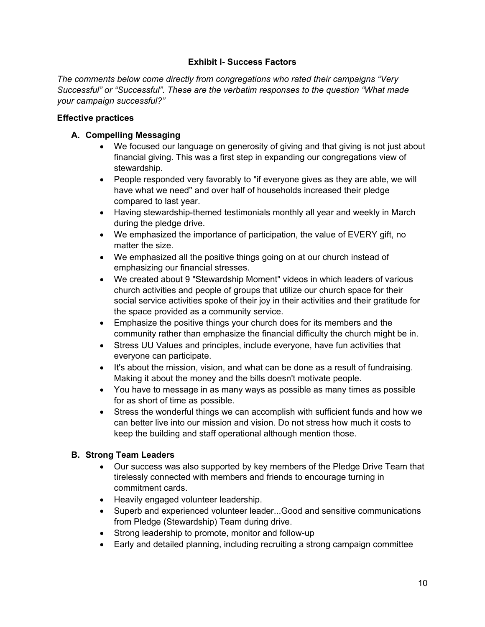#### **Exhibit I- Success Factors**

*The comments below come directly from congregations who rated their campaigns "Very Successful" or "Successful". These are the verbatim responses to the question "What made your campaign successful?"* 

#### **Effective practices**

### **A. Compelling Messaging**

- We focused our language on generosity of giving and that giving is not just about financial giving. This was a first step in expanding our congregations view of stewardship.
- People responded very favorably to "if everyone gives as they are able, we will have what we need" and over half of households increased their pledge compared to last year.
- Having stewardship-themed testimonials monthly all year and weekly in March during the pledge drive.
- We emphasized the importance of participation, the value of EVERY gift, no matter the size.
- We emphasized all the positive things going on at our church instead of emphasizing our financial stresses.
- We created about 9 "Stewardship Moment" videos in which leaders of various church activities and people of groups that utilize our church space for their social service activities spoke of their joy in their activities and their gratitude for the space provided as a community service.
- Emphasize the positive things your church does for its members and the community rather than emphasize the financial difficulty the church might be in.
- Stress UU Values and principles, include everyone, have fun activities that everyone can participate.
- It's about the mission, vision, and what can be done as a result of fundraising. Making it about the money and the bills doesn't motivate people.
- You have to message in as many ways as possible as many times as possible for as short of time as possible.
- Stress the wonderful things we can accomplish with sufficient funds and how we can better live into our mission and vision. Do not stress how much it costs to keep the building and staff operational although mention those.

### **B. Strong Team Leaders**

- Our success was also supported by key members of the Pledge Drive Team that tirelessly connected with members and friends to encourage turning in commitment cards.
- Heavily engaged volunteer leadership.
- Superb and experienced volunteer leader...Good and sensitive communications from Pledge (Stewardship) Team during drive.
- Strong leadership to promote, monitor and follow-up
- Early and detailed planning, including recruiting a strong campaign committee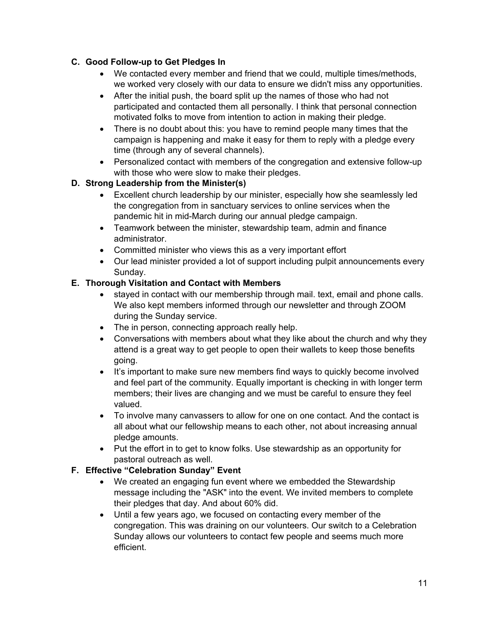### **C. Good Follow-up to Get Pledges In**

- We contacted every member and friend that we could, multiple times/methods, we worked very closely with our data to ensure we didn't miss any opportunities.
- After the initial push, the board split up the names of those who had not participated and contacted them all personally. I think that personal connection motivated folks to move from intention to action in making their pledge.
- There is no doubt about this: you have to remind people many times that the campaign is happening and make it easy for them to reply with a pledge every time (through any of several channels).
- Personalized contact with members of the congregation and extensive follow-up with those who were slow to make their pledges.

### **D. Strong Leadership from the Minister(s)**

- Excellent church leadership by our minister, especially how she seamlessly led the congregation from in sanctuary services to online services when the pandemic hit in mid-March during our annual pledge campaign.
- Teamwork between the minister, stewardship team, admin and finance administrator.
- Committed minister who views this as a very important effort
- Our lead minister provided a lot of support including pulpit announcements every Sunday.

### **E. Thorough Visitation and Contact with Members**

- stayed in contact with our membership through mail. text, email and phone calls. We also kept members informed through our newsletter and through ZOOM during the Sunday service.
- The in person, connecting approach really help.
- Conversations with members about what they like about the church and why they attend is a great way to get people to open their wallets to keep those benefits going.
- It's important to make sure new members find ways to quickly become involved and feel part of the community. Equally important is checking in with longer term members; their lives are changing and we must be careful to ensure they feel valued.
- To involve many canvassers to allow for one on one contact. And the contact is all about what our fellowship means to each other, not about increasing annual pledge amounts.
- Put the effort in to get to know folks. Use stewardship as an opportunity for pastoral outreach as well.

### **F. Effective "Celebration Sunday" Event**

- We created an engaging fun event where we embedded the Stewardship message including the "ASK" into the event. We invited members to complete their pledges that day. And about 60% did.
- Until a few years ago, we focused on contacting every member of the congregation. This was draining on our volunteers. Our switch to a Celebration Sunday allows our volunteers to contact few people and seems much more efficient.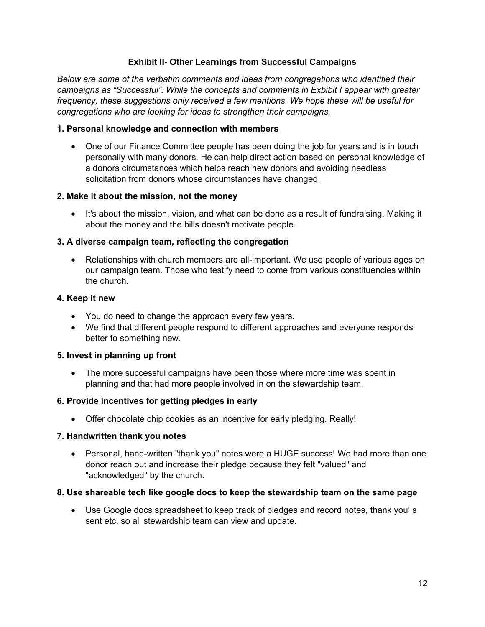#### **Exhibit II- Other Learnings from Successful Campaigns**

*Below are some of the verbatim comments and ideas from congregations who identified their campaigns as "Successful". While the concepts and comments in Exbibit I appear with greater frequency, these suggestions only received a few mentions. We hope these will be useful for congregations who are looking for ideas to strengthen their campaigns.* 

#### **1. Personal knowledge and connection with members**

• One of our Finance Committee people has been doing the job for years and is in touch personally with many donors. He can help direct action based on personal knowledge of a donors circumstances which helps reach new donors and avoiding needless solicitation from donors whose circumstances have changed.

#### **2. Make it about the mission, not the money**

• It's about the mission, vision, and what can be done as a result of fundraising. Making it about the money and the bills doesn't motivate people.

#### **3. A diverse campaign team, reflecting the congregation**

• Relationships with church members are all-important. We use people of various ages on our campaign team. Those who testify need to come from various constituencies within the church.

#### **4. Keep it new**

- You do need to change the approach every few years.
- We find that different people respond to different approaches and everyone responds better to something new.

#### **5. Invest in planning up front**

 The more successful campaigns have been those where more time was spent in planning and that had more people involved in on the stewardship team.

#### **6. Provide incentives for getting pledges in early**

Offer chocolate chip cookies as an incentive for early pledging. Really!

#### **7. Handwritten thank you notes**

 Personal, hand-written "thank you" notes were a HUGE success! We had more than one donor reach out and increase their pledge because they felt "valued" and "acknowledged" by the church.

#### **8. Use shareable tech like google docs to keep the stewardship team on the same page**

 Use Google docs spreadsheet to keep track of pledges and record notes, thank you' s sent etc. so all stewardship team can view and update.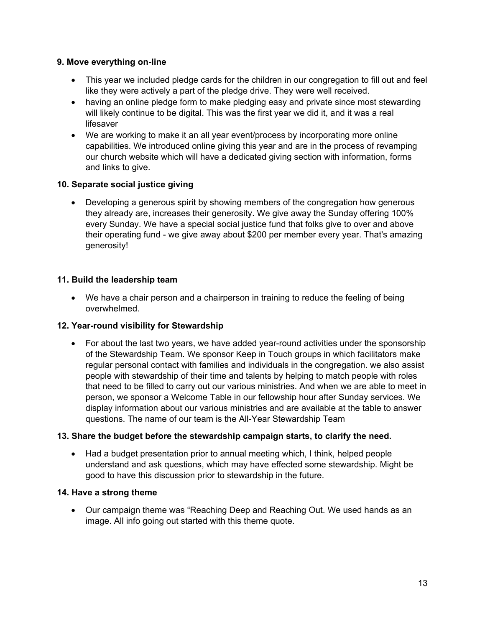#### **9. Move everything on-line**

- This year we included pledge cards for the children in our congregation to fill out and feel like they were actively a part of the pledge drive. They were well received.
- having an online pledge form to make pledging easy and private since most stewarding will likely continue to be digital. This was the first year we did it, and it was a real lifesaver
- We are working to make it an all year event/process by incorporating more online capabilities. We introduced online giving this year and are in the process of revamping our church website which will have a dedicated giving section with information, forms and links to give.

#### **10. Separate social justice giving**

 Developing a generous spirit by showing members of the congregation how generous they already are, increases their generosity. We give away the Sunday offering 100% every Sunday. We have a special social justice fund that folks give to over and above their operating fund - we give away about \$200 per member every year. That's amazing generosity!

#### **11. Build the leadership team**

 We have a chair person and a chairperson in training to reduce the feeling of being overwhelmed.

### **12. Year-round visibility for Stewardship**

• For about the last two years, we have added year-round activities under the sponsorship of the Stewardship Team. We sponsor Keep in Touch groups in which facilitators make regular personal contact with families and individuals in the congregation. we also assist people with stewardship of their time and talents by helping to match people with roles that need to be filled to carry out our various ministries. And when we are able to meet in person, we sponsor a Welcome Table in our fellowship hour after Sunday services. We display information about our various ministries and are available at the table to answer questions. The name of our team is the All-Year Stewardship Team

#### **13. Share the budget before the stewardship campaign starts, to clarify the need.**

 Had a budget presentation prior to annual meeting which, I think, helped people understand and ask questions, which may have effected some stewardship. Might be good to have this discussion prior to stewardship in the future.

#### **14. Have a strong theme**

 Our campaign theme was "Reaching Deep and Reaching Out. We used hands as an image. All info going out started with this theme quote.